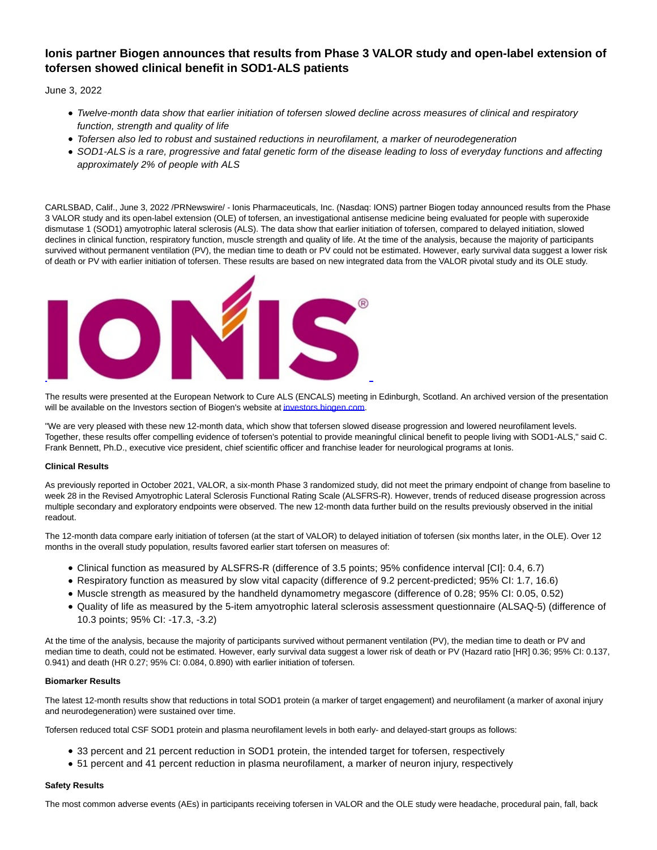# **Ionis partner Biogen announces that results from Phase 3 VALOR study and open-label extension of tofersen showed clinical benefit in SOD1-ALS patients**

June 3, 2022

- Twelve-month data show that earlier initiation of tofersen slowed decline across measures of clinical and respiratory function, strength and quality of life
- Tofersen also led to robust and sustained reductions in neurofilament, a marker of neurodegeneration
- SOD1-ALS is a rare, progressive and fatal genetic form of the disease leading to loss of everyday functions and affecting approximately 2% of people with ALS

CARLSBAD, Calif., June 3, 2022 /PRNewswire/ - Ionis Pharmaceuticals, Inc. (Nasdaq: IONS) partner Biogen today announced results from the Phase 3 VALOR study and its open-label extension (OLE) of tofersen, an investigational antisense medicine being evaluated for people with superoxide dismutase 1 (SOD1) amyotrophic lateral sclerosis (ALS). The data show that earlier initiation of tofersen, compared to delayed initiation, slowed declines in clinical function, respiratory function, muscle strength and quality of life. At the time of the analysis, because the majority of participants survived without permanent ventilation (PV), the median time to death or PV could not be estimated. However, early survival data suggest a lower risk of death or PV with earlier initiation of tofersen. These results are based on new integrated data from the VALOR pivotal study and its OLE study.



The results were presented at the European Network to Cure ALS (ENCALS) meeting in Edinburgh, Scotland. An archived version of the presentation will be available on the Investors section of Biogen's website at *investors.biogen.com*.

"We are very pleased with these new 12-month data, which show that tofersen slowed disease progression and lowered neurofilament levels. Together, these results offer compelling evidence of tofersen's potential to provide meaningful clinical benefit to people living with SOD1-ALS," said C. Frank Bennett, Ph.D., executive vice president, chief scientific officer and franchise leader for neurological programs at Ionis.

## **Clinical Results**

As previously reported in October 2021, VALOR, a six-month Phase 3 randomized study, did not meet the primary endpoint of change from baseline to week 28 in the Revised Amyotrophic Lateral Sclerosis Functional Rating Scale (ALSFRS-R). However, trends of reduced disease progression across multiple secondary and exploratory endpoints were observed. The new 12-month data further build on the results previously observed in the initial readout.

The 12-month data compare early initiation of tofersen (at the start of VALOR) to delayed initiation of tofersen (six months later, in the OLE). Over 12 months in the overall study population, results favored earlier start tofersen on measures of:

- Clinical function as measured by ALSFRS-R (difference of 3.5 points; 95% confidence interval [CI]: 0.4, 6.7)
- Respiratory function as measured by slow vital capacity (difference of 9.2 percent-predicted; 95% CI: 1.7, 16.6)
- Muscle strength as measured by the handheld dynamometry megascore (difference of 0.28; 95% CI: 0.05, 0.52)
- Quality of life as measured by the 5-item amyotrophic lateral sclerosis assessment questionnaire (ALSAQ-5) (difference of 10.3 points; 95% CI: -17.3, -3.2)

At the time of the analysis, because the majority of participants survived without permanent ventilation (PV), the median time to death or PV and median time to death, could not be estimated. However, early survival data suggest a lower risk of death or PV (Hazard ratio [HR] 0.36; 95% CI: 0.137, 0.941) and death (HR 0.27; 95% CI: 0.084, 0.890) with earlier initiation of tofersen.

## **Biomarker Results**

The latest 12-month results show that reductions in total SOD1 protein (a marker of target engagement) and neurofilament (a marker of axonal injury and neurodegeneration) were sustained over time.

Tofersen reduced total CSF SOD1 protein and plasma neurofilament levels in both early- and delayed-start groups as follows:

- 33 percent and 21 percent reduction in SOD1 protein, the intended target for tofersen, respectively
- 51 percent and 41 percent reduction in plasma neurofilament, a marker of neuron injury, respectively

## **Safety Results**

The most common adverse events (AEs) in participants receiving tofersen in VALOR and the OLE study were headache, procedural pain, fall, back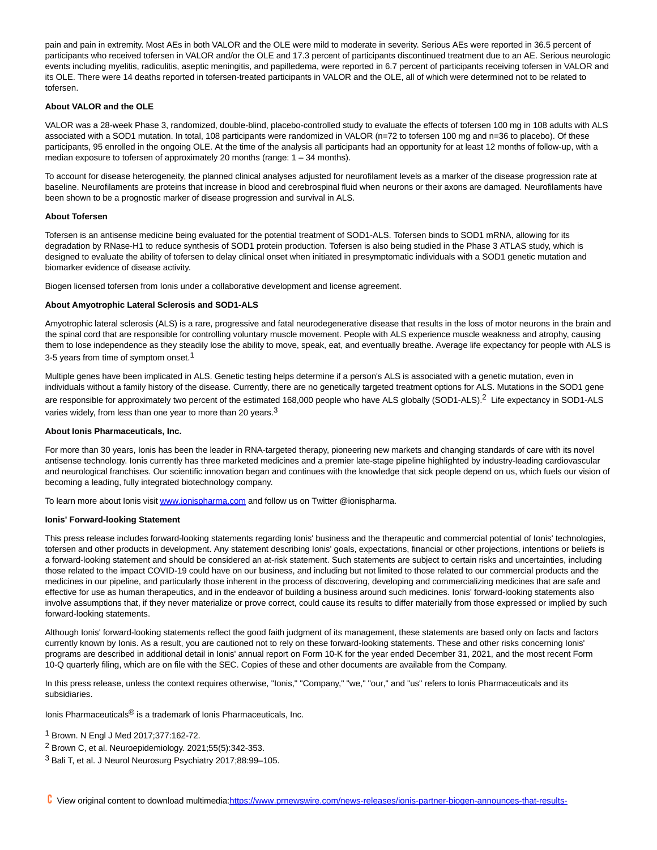pain and pain in extremity. Most AEs in both VALOR and the OLE were mild to moderate in severity. Serious AEs were reported in 36.5 percent of participants who received tofersen in VALOR and/or the OLE and 17.3 percent of participants discontinued treatment due to an AE. Serious neurologic events including myelitis, radiculitis, aseptic meningitis, and papilledema, were reported in 6.7 percent of participants receiving tofersen in VALOR and its OLE. There were 14 deaths reported in tofersen-treated participants in VALOR and the OLE, all of which were determined not to be related to tofersen.

## **About VALOR and the OLE**

VALOR was a 28-week Phase 3, randomized, double-blind, placebo-controlled study to evaluate the effects of tofersen 100 mg in 108 adults with ALS associated with a SOD1 mutation. In total, 108 participants were randomized in VALOR (n=72 to tofersen 100 mg and n=36 to placebo). Of these participants, 95 enrolled in the ongoing OLE. At the time of the analysis all participants had an opportunity for at least 12 months of follow-up, with a median exposure to tofersen of approximately 20 months (range: 1 – 34 months).

To account for disease heterogeneity, the planned clinical analyses adjusted for neurofilament levels as a marker of the disease progression rate at baseline. Neurofilaments are proteins that increase in blood and cerebrospinal fluid when neurons or their axons are damaged. Neurofilaments have been shown to be a prognostic marker of disease progression and survival in ALS.

### **About Tofersen**

Tofersen is an antisense medicine being evaluated for the potential treatment of SOD1-ALS. Tofersen binds to SOD1 mRNA, allowing for its degradation by RNase-H1 to reduce synthesis of SOD1 protein production. Tofersen is also being studied in the Phase 3 ATLAS study, which is designed to evaluate the ability of tofersen to delay clinical onset when initiated in presymptomatic individuals with a SOD1 genetic mutation and biomarker evidence of disease activity.

Biogen licensed tofersen from Ionis under a collaborative development and license agreement.

#### **About Amyotrophic Lateral Sclerosis and SOD1-ALS**

Amyotrophic lateral sclerosis (ALS) is a rare, progressive and fatal neurodegenerative disease that results in the loss of motor neurons in the brain and the spinal cord that are responsible for controlling voluntary muscle movement. People with ALS experience muscle weakness and atrophy, causing them to lose independence as they steadily lose the ability to move, speak, eat, and eventually breathe. Average life expectancy for people with ALS is 3-5 years from time of symptom onset.<sup>1</sup>

Multiple genes have been implicated in ALS. Genetic testing helps determine if a person's ALS is associated with a genetic mutation, even in individuals without a family history of the disease. Currently, there are no genetically targeted treatment options for ALS. Mutations in the SOD1 gene are responsible for approximately two percent of the estimated 168,000 people who have ALS globally (SOD1-ALS).<sup>2</sup> Life expectancy in SOD1-ALS varies widely, from less than one year to more than 20 years.<sup>3</sup>

#### **About Ionis Pharmaceuticals, Inc.**

For more than 30 years, Ionis has been the leader in RNA-targeted therapy, pioneering new markets and changing standards of care with its novel antisense technology. Ionis currently has three marketed medicines and a premier late-stage pipeline highlighted by industry-leading cardiovascular and neurological franchises. Our scientific innovation began and continues with the knowledge that sick people depend on us, which fuels our vision of becoming a leading, fully integrated biotechnology company.

To learn more about Ionis visi[t www.ionispharma.com a](http://www.ionispharma.com/)nd follow us on Twitter @ionispharma.

#### **Ionis' Forward-looking Statement**

This press release includes forward-looking statements regarding Ionis' business and the therapeutic and commercial potential of Ionis' technologies, tofersen and other products in development. Any statement describing Ionis' goals, expectations, financial or other projections, intentions or beliefs is a forward-looking statement and should be considered an at-risk statement. Such statements are subject to certain risks and uncertainties, including those related to the impact COVID-19 could have on our business, and including but not limited to those related to our commercial products and the medicines in our pipeline, and particularly those inherent in the process of discovering, developing and commercializing medicines that are safe and effective for use as human therapeutics, and in the endeavor of building a business around such medicines. Ionis' forward-looking statements also involve assumptions that, if they never materialize or prove correct, could cause its results to differ materially from those expressed or implied by such forward-looking statements.

Although Ionis' forward-looking statements reflect the good faith judgment of its management, these statements are based only on facts and factors currently known by Ionis. As a result, you are cautioned not to rely on these forward-looking statements. These and other risks concerning Ionis' programs are described in additional detail in Ionis' annual report on Form 10-K for the year ended December 31, 2021, and the most recent Form 10-Q quarterly filing, which are on file with the SEC. Copies of these and other documents are available from the Company.

In this press release, unless the context requires otherwise, "Ionis," "Company," "we," "our," and "us" refers to Ionis Pharmaceuticals and its subsidiaries.

Ionis Pharmaceuticals® is a trademark of Ionis Pharmaceuticals, Inc.

1 Brown. N Engl J Med 2017;377:162-72.

- 2 Brown C, et al. Neuroepidemiology. 2021;55(5):342-353.
- 3 Bali T, et al. J Neurol Neurosurg Psychiatry 2017;88:99–105.